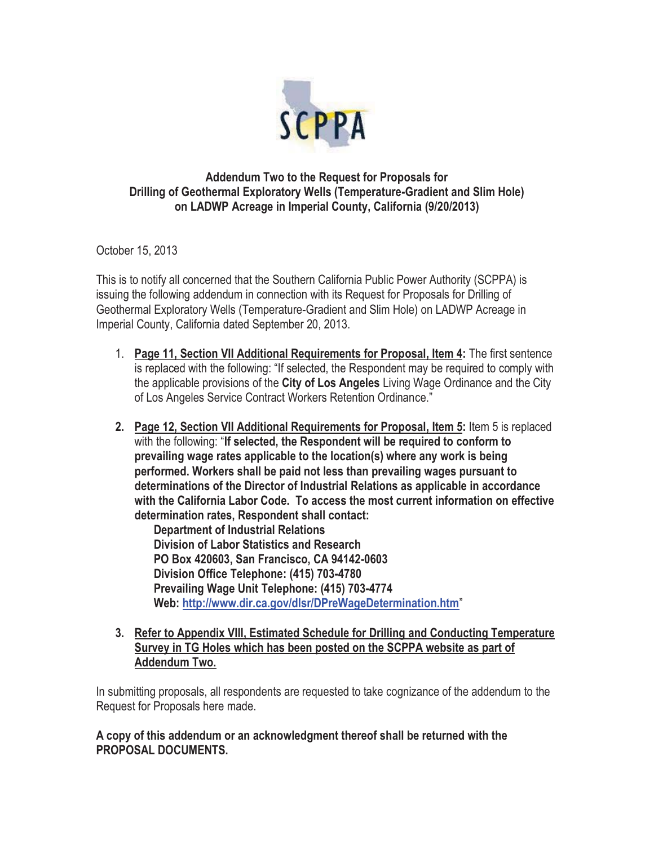

## **Addendum Two to the Request for Proposals for Drilling of Geothermal Exploratory Wells (Temperature-Gradient and Slim Hole) on LADWP Acreage in Imperial County, California (9/20/2013)**

October 15, 2013

This is to notify all concerned that the Southern California Public Power Authority (SCPPA) is issuing the following addendum in connection with its Request for Proposals for Drilling of Geothermal Exploratory Wells (Temperature-Gradient and Slim Hole) on LADWP Acreage in Imperial County, California dated September 20, 2013.

- 1. **Page 11, Section VII Additional Requirements for Proposal, Item 4:** The first sentence is replaced with the following: "If selected, the Respondent may be required to comply with the applicable provisions of the **City of Los Angeles** Living Wage Ordinance and the City of Los Angeles Service Contract Workers Retention Ordinance."
- **2. Page 12, Section VII Additional Requirements for Proposal, Item 5:** Item 5 is replaced with the following: "**If selected, the Respondent will be required to conform to prevailing wage rates applicable to the location(s) where any work is being performed. Workers shall be paid not less than prevailing wages pursuant to determinations of the Director of Industrial Relations as applicable in accordance with the California Labor Code. To access the most current information on effective determination rates, Respondent shall contact:**

**Department of Industrial Relations Division of Labor Statistics and Research PO Box 420603, San Francisco, CA 94142-0603 Division Office Telephone: (415) 703-4780 Prevailing Wage Unit Telephone: (415) 703-4774 Web: http://www.dir.ca.gov/dlsr/DPreWageDetermination.htm**"

**3. Refer to Appendix VIII, Estimated Schedule for Drilling and Conducting Temperature Survey in TG Holes which has been posted on the SCPPA website as part of Addendum Two.** 

In submitting proposals, all respondents are requested to take cognizance of the addendum to the Request for Proposals here made.

**A copy of this addendum or an acknowledgment thereof shall be returned with the PROPOSAL DOCUMENTS.**